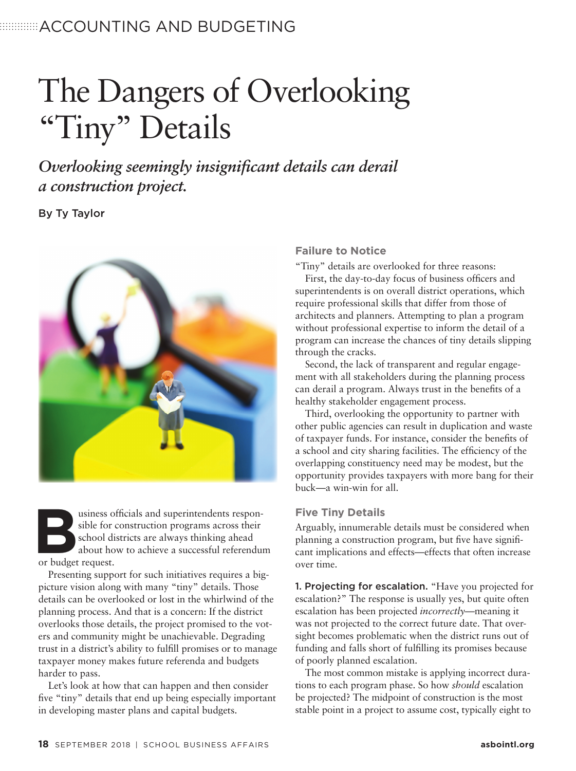## **ACCOUNTING AND BUDGETING**

# The Dangers of Overlooking "Tiny" Details

*Overlooking seemingly insignificant details can derail a construction project.*

By Ty Taylor



sible for construction programs across their<br>school districts are always thinking ahead<br>about how to achieve a successful referendur<br>or budget request. sible for construction programs across their school districts are always thinking ahead about how to achieve a successful referendum or budget request.

Presenting support for such initiatives requires a bigpicture vision along with many "tiny" details. Those details can be overlooked or lost in the whirlwind of the planning process. And that is a concern: If the district overlooks those details, the project promised to the voters and community might be unachievable. Degrading trust in a district's ability to fulfill promises or to manage taxpayer money makes future referenda and budgets harder to pass.

Let's look at how that can happen and then consider five "tiny" details that end up being especially important in developing master plans and capital budgets.

#### **Failure to Notice**

"Tiny" details are overlooked for three reasons:

First, the day-to-day focus of business officers and superintendents is on overall district operations, which require professional skills that differ from those of architects and planners. Attempting to plan a program without professional expertise to inform the detail of a program can increase the chances of tiny details slipping through the cracks.

Second, the lack of transparent and regular engagement with all stakeholders during the planning process can derail a program. Always trust in the benefits of a healthy stakeholder engagement process.

Third, overlooking the opportunity to partner with other public agencies can result in duplication and waste of taxpayer funds. For instance, consider the benefits of a school and city sharing facilities. The efficiency of the overlapping constituency need may be modest, but the opportunity provides taxpayers with more bang for their buck—a win-win for all.

#### **Five Tiny Details**

Arguably, innumerable details must be considered when planning a construction program, but five have significant implications and effects—effects that often increase over time.

1. Projecting for escalation. "Have you projected for escalation?" The response is usually yes, but quite often escalation has been projected *incorrectly*—meaning it was not projected to the correct future date. That oversight becomes problematic when the district runs out of funding and falls short of fulfilling its promises because of poorly planned escalation.

The most common mistake is applying incorrect durations to each program phase. So how *should* escalation be projected? The midpoint of construction is the most stable point in a project to assume cost, typically eight to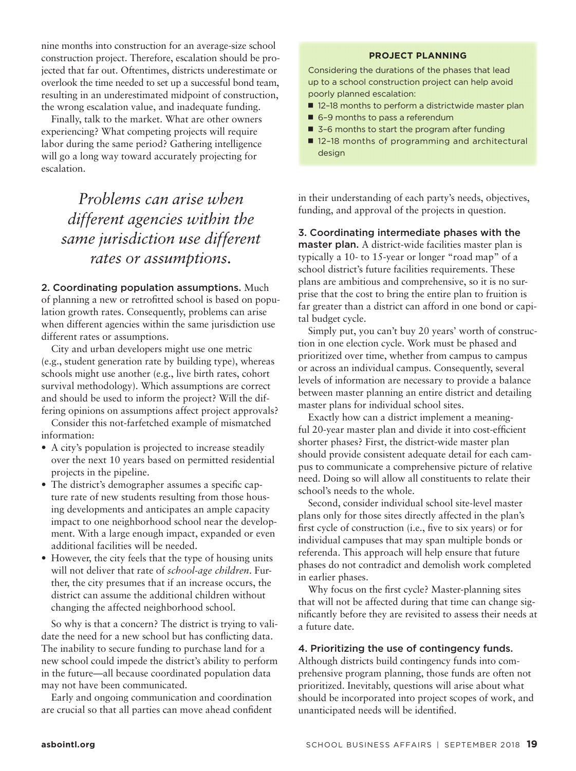nine months into construction for an average-size school construction project. Therefore, escalation should be projected that far out. Oftentimes, districts underestimate or overlook the time needed to set up a successful bond team, resulting in an underestimated midpoint of construction, the wrong escalation value, and inadequate funding.

Finally, talk to the market. What are other owners experiencing? What competing projects will require labor during the same period? Gathering intelligence will go a long way toward accurately projecting for escalation.

## *Problems can arise when different agencies within the same jurisdiction use different rates or assumptions.*

#### 2. Coordinating population assumptions. Much

of planning a new or retrofitted school is based on population growth rates. Consequently, problems can arise when different agencies within the same jurisdiction use different rates or assumptions.

City and urban developers might use one metric (e.g., student generation rate by building type), whereas schools might use another (e.g., live birth rates, cohort survival methodology). Which assumptions are correct and should be used to inform the project? Will the differing opinions on assumptions affect project approvals?

Consider this not-farfetched example of mismatched information:

- A city's population is projected to increase steadily over the next 10 years based on permitted residential projects in the pipeline.
- The district's demographer assumes a specific capture rate of new students resulting from those housing developments and anticipates an ample capacity impact to one neighborhood school near the development. With a large enough impact, expanded or even additional facilities will be needed.
- However, the city feels that the type of housing units will not deliver that rate of *school-age children*. Further, the city presumes that if an increase occurs, the district can assume the additional children without changing the affected neighborhood school.

So why is that a concern? The district is trying to validate the need for a new school but has conflicting data. The inability to secure funding to purchase land for a new school could impede the district's ability to perform in the future—all because coordinated population data may not have been communicated.

Early and ongoing communication and coordination are crucial so that all parties can move ahead confident

#### **PROJECT PLANNING**

Considering the durations of the phases that lead up to a school construction project can help avoid poorly planned escalation:

- 12-18 months to perform a districtwide master plan
- 6-9 months to pass a referendum
- 3-6 months to start the program after funding
- 12-18 months of programming and architectural design

in their understanding of each party's needs, objectives, funding, and approval of the projects in question.

3. Coordinating intermediate phases with the master plan. A district-wide facilities master plan is typically a 10- to 15-year or longer "road map" of a school district's future facilities requirements. These plans are ambitious and comprehensive, so it is no surprise that the cost to bring the entire plan to fruition is far greater than a district can afford in one bond or capital budget cycle.

Simply put, you can't buy 20 years' worth of construction in one election cycle. Work must be phased and prioritized over time, whether from campus to campus or across an individual campus. Consequently, several levels of information are necessary to provide a balance between master planning an entire district and detailing master plans for individual school sites.

Exactly how can a district implement a meaningful 20-year master plan and divide it into cost-efficient shorter phases? First, the district-wide master plan should provide consistent adequate detail for each campus to communicate a comprehensive picture of relative need. Doing so will allow all constituents to relate their school's needs to the whole.

Second, consider individual school site-level master plans only for those sites directly affected in the plan's first cycle of construction (i.e., five to six years) or for individual campuses that may span multiple bonds or referenda. This approach will help ensure that future phases do not contradict and demolish work completed in earlier phases.

Why focus on the first cycle? Master-planning sites that will not be affected during that time can change significantly before they are revisited to assess their needs at a future date.

#### 4. Prioritizing the use of contingency funds.

Although districts build contingency funds into comprehensive program planning, those funds are often not prioritized. Inevitably, questions will arise about what should be incorporated into project scopes of work, and unanticipated needs will be identified.